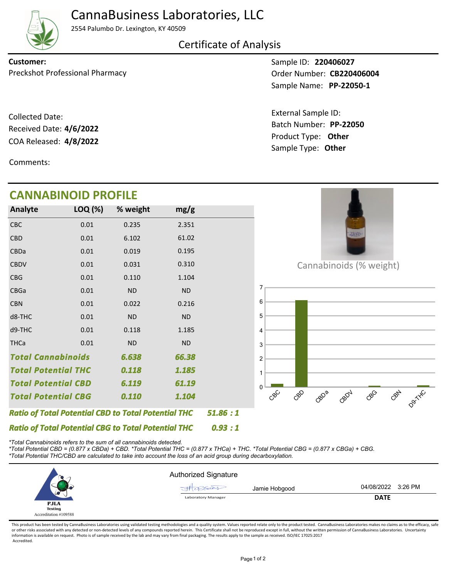

## CannaBusiness Laboratories, LLC

2554 Palumbo Dr. Lexington, KY 40509

Certificate of Analysis

Preckshot Professional Pharmacy **CB220406004** Order Number: **CB220406004 Customer:**

COA Released: 4/8/2022 Collected Date: Received Date: **4/6/2022**

Comments:

**CANNABINOID PROFILE**

Sample ID: **220406027 PP-22050-1** Sample Name:

Product Type: **Other 4/8/2022** Batch Number: **PP-22050** External Sample ID: Sample Type: **Other**

| <b>CANNABINOID PROFILE</b>                                 |         |           |           |         |
|------------------------------------------------------------|---------|-----------|-----------|---------|
| Analyte                                                    | LOQ (%) | % weight  | mg/g      |         |
| CBC                                                        | 0.01    | 0.235     | 2.351     |         |
| <b>CBD</b>                                                 | 0.01    | 6.102     | 61.02     |         |
| CBDa                                                       | 0.01    | 0.019     | 0.195     |         |
| <b>CBDV</b>                                                | 0.01    | 0.031     | 0.310     |         |
| <b>CBG</b>                                                 | 0.01    | 0.110     | 1.104     |         |
| CBGa                                                       | 0.01    | <b>ND</b> | <b>ND</b> |         |
| <b>CBN</b>                                                 | 0.01    | 0.022     | 0.216     |         |
| d8-THC                                                     | 0.01    | <b>ND</b> | <b>ND</b> |         |
| d9-THC                                                     | 0.01    | 0.118     | 1.185     |         |
| <b>THCa</b>                                                | 0.01    | <b>ND</b> | <b>ND</b> |         |
| <b>Total Cannabinoids</b><br>66.38<br>6.638                |         |           |           |         |
| <b>Total Potential THC</b>                                 |         | 0.118     | 1.185     |         |
| <b>Total Potential CBD</b>                                 |         | 6.119     | 61.19     |         |
| <b>Total Potential CBG</b>                                 |         | 0.110     | 1.104     |         |
| <b>Ratio of Total Potential CBD to Total Potential THC</b> |         |           |           | 51.86:1 |
| <b>Ratio of Total Potential CBG to Total Potential THC</b> |         |           |           | 0.93:1  |

*\*Total Cannabinoids refers to the sum of all cannabinoids detected.*

*\*Total Potential CBD = (0.877 x CBDa) + CBD. \*Total Potential THC = (0.877 x THCa) + THC. \*Total Potential CBG = (0.877 x CBGa) + CBG. \*Total Potential THC/CBD are calculated to take into account the loss of an acid group during decarboxylation.*



This product has been tested by CannaBusiness Laboratories using validated testing methodologies and a quality system. Values reported relate only to the product tested. CannaBusiness Laboratories makes no claims as to the or other risks associated with any detected or non-detected levels of any compounds reported herein. This Certificate shall not be reproduced except in full, without the written permission of CannaBusiness Laboratories. Un information is available on request. Photo is of sample received by the lab and may vary from final packaging. The results apply to the sample as received. ISO/IEC 17025:2017 Accredited.